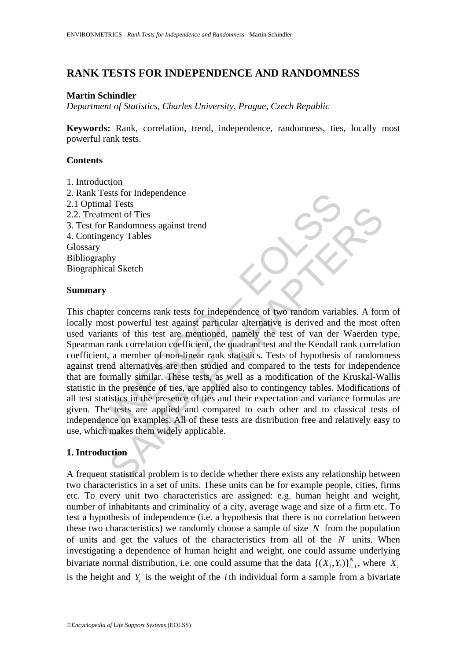## **RANK TESTS FOR INDEPENDENCE AND RANDOMNESS**

### **Martin Schindler**

*Department of Statistics, Charles University, Prague, Czech Republic* 

**Keywords:** Rank, correlation, trend, independence, randomness, ties, locally most powerful rank tests.

### **Contents**

1. Introduction 2. Rank Tests for Independence 2.1 Optimal Tests 2.2. Treatment of Ties 3. Test for Randomness against trend 4. Contingency Tables Glossary Bibliography Biographical Sketch

#### **Summary**

Thests for Independence<br>
atment of Ties<br>
atment of Ties<br>
for Randomness against trend<br>
ingency Tables<br>
y<br>
y<br>
appter concerns rank tests for independence of two random varia<br>
most powerful test against particular alternativ The statistical and the presence of the statistical problem is to decide whether there exists any relationship between the of Ties and the statistical and the statistical and the metal of this test are mentioned, namely th This chapter concerns rank tests for independence of two random variables. A form of locally most powerful test against particular alternative is derived and the most often used variants of this test are mentioned, namely the test of van der Waerden type, Spearman rank correlation coefficient, the quadrant test and the Kendall rank correlation coefficient, a member of non-linear rank statistics. Tests of hypothesis of randomness against trend alternatives are then studied and compared to the tests for independence that are formally similar. These tests, as well as a modification of the Kruskal-Wallis statistic in the presence of ties, are applied also to contingency tables. Modifications of all test statistics in the presence of ties and their expectation and variance formulas are given. The tests are applied and compared to each other and to classical tests of independence on examples. All of these tests are distribution free and relatively easy to use, which makes them widely applicable.

## **1. Introduction**

A frequent statistical problem is to decide whether there exists any relationship between two characteristics in a set of units. These units can be for example people, cities, firms etc. To every unit two characteristics are assigned: e.g. human height and weight, number of inhabitants and criminality of a city, average wage and size of a firm etc. To test a hypothesis of independence (i.e. a hypothesis that there is no correlation between these two characteristics) we randomly choose a sample of size *N* from the population of units and get the values of the characteristics from all of the *N* units. When investigating a dependence of human height and weight, one could assume underlying bivariate normal distribution, i.e. one could assume that the data  $\{(X_i, Y_i)\}_{i=1}^N$ , where  $X_i$ is the height and  $Y_i$  is the weight of the *i* th individual form a sample from a bivariate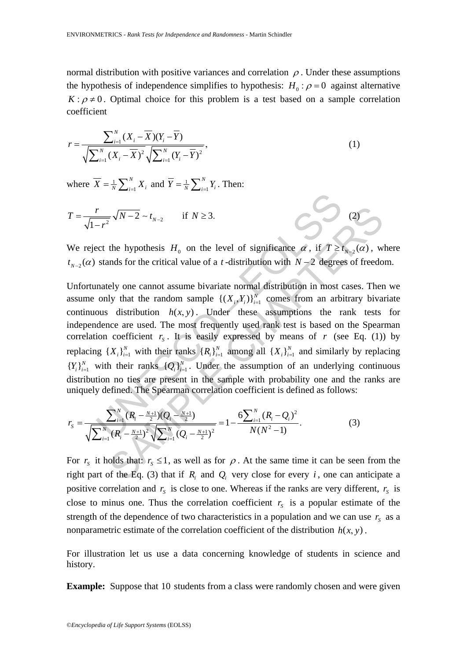normal distribution with positive variances and correlation  $\rho$ . Under these assumptions the hypothesis of independence simplifies to hypothesis:  $H_0$ :  $\rho = 0$  against alternative  $K: \rho \neq 0$ . Optimal choice for this problem is a test based on a sample correlation coefficient

$$
r = \frac{\sum_{i=1}^{N} (X_i - \overline{X})(Y_i - \overline{Y})}{\sqrt{\sum_{i=1}^{N} (X_i - \overline{X})^2} \sqrt{\sum_{i=1}^{N} (Y_i - \overline{Y})^2}},
$$
\n(1)

where  $X = \frac{1}{N} \sum_{i=1}^{N}$ *N*  $\overline{X} = \frac{1}{N} \sum_{i=1}^{N} X_i$  and  $\overline{Y} = \frac{1}{N} \sum_{i=1}^{N}$ *N*  $\overline{Y} = \frac{1}{N} \sum_{i=1}^{N} Y_i$ . Then:

$$
T = \frac{r}{\sqrt{1 - r^2}} \sqrt{N - 2} \sim t_{N-2} \quad \text{if } N \ge 3.
$$
 (2)

We reject the hypothesis  $H_0$  on the level of significance  $\alpha$ , if  $T \ge t_{N-2}(\alpha)$ , where  $t_{N-2}(\alpha)$  stands for the critical value of a *t*-distribution with  $N-2$  degrees of freedom.

 $\frac{r}{r^2} \sqrt{N-2} \sim t_{N-2}$  if  $N \ge 3$ .<br>
ect the hypothesis  $H_0$  on the level of significance  $\alpha$ , if  $T \ge 1$ <br>
stands for the critical value of a *t*-distribution with  $N-2$  degree<br>
mately one cannot assume bivariate nor  $\frac{1}{2}\sqrt{N-2} - t_{N-2}$  if  $N \ge 3$ .<br>
(2)<br>
the hypothesis  $H_0$  on the level of significance  $\alpha$ , if  $T \ge t_{N-2}(\alpha)$ , we<br>
onds for the critical value of a *t*-distribution with  $N-2$  degrees of freedo<br>
ely one cannot assume Unfortunately one cannot assume bivariate normal distribution in most cases. Then we assume only that the random sample  $\{(X_i, Y_i)\}_{i=1}^N$  comes from an arbitrary bivariate continuous distribution  $h(x, y)$ . Under these assumptions the rank tests for independence are used. The most frequently used rank test is based on the Spearman correlation coefficient  $r_s$ . It is easily expressed by means of *r* (see Eq. (1)) by replacing  $\{X_i\}_{i=1}^N$  with their ranks  $\{R_i\}_{i=1}^N$  among all  $\{X_i\}_{i=1}^N$  and similarly by replacing  ${Y_i}_{i=1}^N$  with their ranks  ${Q_i}_{i=1}^N$ . Under the assumption of an underlying continuous distribution no ties are present in the sample with probability one and the ranks are uniquely defined. The Spearman correlation coefficient is defined as follows:

$$
r_{S} = \frac{\sum_{i=1}^{N} (R_{i} - \frac{N+1}{2}) (Q_{i} - \frac{N+1}{2})}{\sqrt{\sum_{i=1}^{N} (R_{i} - \frac{N+1}{2})^{2}} \sqrt{\sum_{i=1}^{N} (Q_{i} - \frac{N+1}{2})^{2}}} = 1 - \frac{6 \sum_{i=1}^{N} (R_{i} - Q_{i})^{2}}{N(N^{2} - 1)}.
$$
(3)

For  $r_s$  it holds that:  $r_s \leq 1$ , as well as for  $\rho$ . At the same time it can be seen from the right part of the Eq. (3) that if  $R_i$  and  $Q_i$  very close for every *i*, one can anticipate a positive correlation and  $r_s$  is close to one. Whereas if the ranks are very different,  $r_s$  is close to minus one. Thus the correlation coefficient  $r<sub>s</sub>$  is a popular estimate of the strength of the dependence of two characteristics in a population and we can use  $r<sub>s</sub>$  as a nonparametric estimate of the correlation coefficient of the distribution  $h(x, y)$ .

For illustration let us use a data concerning knowledge of students in science and history.

**Example:** Suppose that 10 students from a class were randomly chosen and were given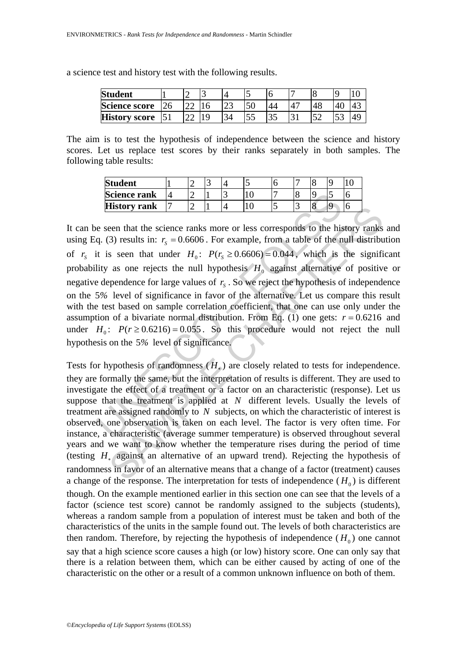a science test and history test with the following results.

| <b>Student</b>       |    |  |     |     |  |     |  |
|----------------------|----|--|-----|-----|--|-----|--|
| <b>Science score</b> | ገሬ |  | ل ک |     |  |     |  |
| <b>History score</b> |    |  |     | ر ر |  | - 1 |  |

The aim is to test the hypothesis of independence between the science and history scores. Let us replace test scores by their ranks separately in both samples. The following table results:

| <b>Student</b>      |  |  |                          |  |  |
|---------------------|--|--|--------------------------|--|--|
| <b>Science rank</b> |  |  |                          |  |  |
| <b>History rank</b> |  |  | $\overline{\phantom{a}}$ |  |  |

UNESCO – EOLSS **EXECUTE THE CONSTRANT THE CONSTRANT IS THE CONSTRANT THE CONSTRANT ON THE CHAPTER CHAPTERS (B)** THE CHAPTERS (THAPTERS) STENDING IS THE SERVICE IN THE SERVICE IS ONE TO LATER (*P*)  $P(r_s \ge 0.6606) = 0.044$ , which is the si It can be seen that the science ranks more or less corresponds to the history ranks and using Eq. (3) results in:  $r_s = 0.6606$ . For example, from a table of the null distribution of  $r_s$  it is seen that under  $H_0$ :  $P(r_s \ge 0.6606) = 0.044$ , which is the significant probability as one rejects the null hypothesis  $H_0$  against alternative of positive or negative dependence for large values of  $r<sub>s</sub>$ . So we reject the hypothesis of independence on the 5*%* level of significance in favor of the alternative. Let us compare this result with the test based on sample correlation coefficient, that one can use only under the assumption of a bivariate normal distribution. From Eq. (1) one gets:  $r = 0.6216$  and under  $H_0$ :  $P(r \ge 0.6216) = 0.055$ . So this procedure would not reject the null hypothesis on the 5*%* level of significance.

Tests for hypothesis of randomness  $(H_*)$  are closely related to tests for independence. they are formally the same, but the interpretation of results is different. They are used to investigate the effect of a treatment or a factor on an characteristic (response). Let us suppose that the treatment is applied at *N* different levels. Usually the levels of treatment are assigned randomly to *N* subjects, on which the characteristic of interest is observed, one observation is taken on each level. The factor is very often time. For instance, a characteristic (average summer temperature) is observed throughout several years and we want to know whether the temperature rises during the period of time (testing *H*∗ against an alternative of an upward trend). Rejecting the hypothesis of randomness in favor of an alternative means that a change of a factor (treatment) causes a change of the response. The interpretation for tests of independence  $(H_0)$  is different though. On the example mentioned earlier in this section one can see that the levels of a factor (science test score) cannot be randomly assigned to the subjects (students), whereas a random sample from a population of interest must be taken and both of the characteristics of the units in the sample found out. The levels of both characteristics are then random. Therefore, by rejecting the hypothesis of independence  $(H_0)$  one cannot say that a high science score causes a high (or low) history score. One can only say that there is a relation between them, which can be either caused by acting of one of the characteristic on the other or a result of a common unknown influence on both of them.